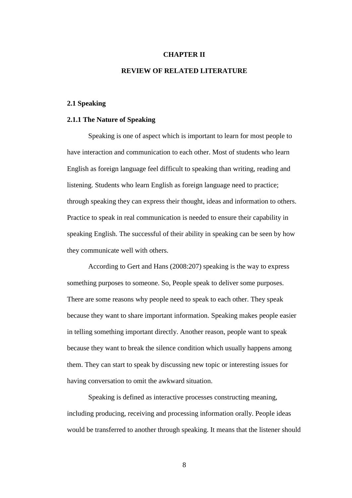## **CHAPTER II**

## **REVIEW OF RELATED LITERATURE**

## **2.1 Speaking**

## **2.1.1 The Nature of Speaking**

Speaking is one of aspect which is important to learn for most people to have interaction and communication to each other. Most of students who learn English as foreign language feel difficult to speaking than writing, reading and listening. Students who learn English as foreign language need to practice; through speaking they can express their thought, ideas and information to others. Practice to speak in real communication is needed to ensure their capability in speaking English. The successful of their ability in speaking can be seen by how they communicate well with others.

According to Gert and Hans (2008:207) speaking is the way to express something purposes to someone. So, People speak to deliver some purposes. There are some reasons why people need to speak to each other. They speak because they want to share important information. Speaking makes people easier in telling something important directly. Another reason, people want to speak because they want to break the silence condition which usually happens among them. They can start to speak by discussing new topic or interesting issues for having conversation to omit the awkward situation.

Speaking is defined as interactive processes constructing meaning, including producing, receiving and processing information orally. People ideas would be transferred to another through speaking. It means that the listener should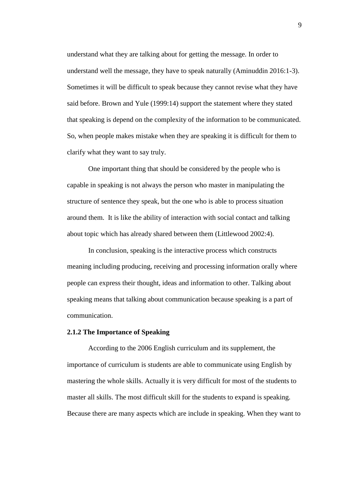understand what they are talking about for getting the message. In order to understand well the message, they have to speak naturally (Aminuddin 2016:1-3). Sometimes it will be difficult to speak because they cannot revise what they have said before. Brown and Yule (1999:14) support the statement where they stated that speaking is depend on the complexity of the information to be communicated. So, when people makes mistake when they are speaking it is difficult for them to clarify what they want to say truly.

One important thing that should be considered by the people who is capable in speaking is not always the person who master in manipulating the structure of sentence they speak, but the one who is able to process situation around them. It is like the ability of interaction with social contact and talking about topic which has already shared between them (Littlewood 2002:4).

In conclusion, speaking is the interactive process which constructs meaning including producing, receiving and processing information orally where people can express their thought, ideas and information to other. Talking about speaking means that talking about communication because speaking is a part of communication.

### **2.1.2 The Importance of Speaking**

According to the 2006 English curriculum and its supplement, the importance of curriculum is students are able to communicate using English by mastering the whole skills. Actually it is very difficult for most of the students to master all skills. The most difficult skill for the students to expand is speaking. Because there are many aspects which are include in speaking. When they want to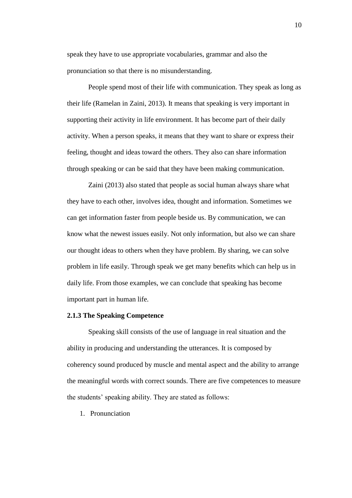speak they have to use appropriate vocabularies, grammar and also the pronunciation so that there is no misunderstanding.

People spend most of their life with communication. They speak as long as their life (Ramelan in Zaini, 2013). It means that speaking is very important in supporting their activity in life environment. It has become part of their daily activity. When a person speaks, it means that they want to share or express their feeling, thought and ideas toward the others. They also can share information through speaking or can be said that they have been making communication.

Zaini (2013) also stated that people as social human always share what they have to each other, involves idea, thought and information. Sometimes we can get information faster from people beside us. By communication, we can know what the newest issues easily. Not only information, but also we can share our thought ideas to others when they have problem. By sharing, we can solve problem in life easily. Through speak we get many benefits which can help us in daily life. From those examples, we can conclude that speaking has become important part in human life.

## **2.1.3 The Speaking Competence**

Speaking skill consists of the use of language in real situation and the ability in producing and understanding the utterances. It is composed by coherency sound produced by muscle and mental aspect and the ability to arrange the meaningful words with correct sounds. There are five competences to measure the students" speaking ability. They are stated as follows:

1. Pronunciation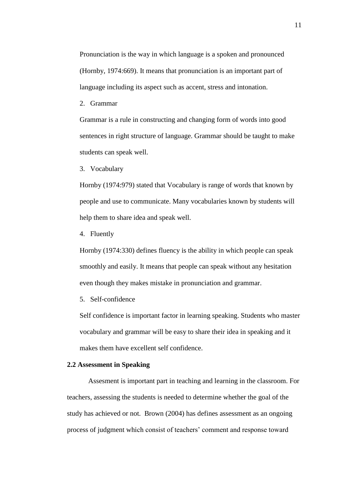Pronunciation is the way in which language is a spoken and pronounced (Hornby, 1974:669). It means that pronunciation is an important part of language including its aspect such as accent, stress and intonation.

2. Grammar

Grammar is a rule in constructing and changing form of words into good sentences in right structure of language. Grammar should be taught to make students can speak well.

3. Vocabulary

Hornby (1974:979) stated that Vocabulary is range of words that known by people and use to communicate. Many vocabularies known by students will help them to share idea and speak well.

4. Fluently

Hornby (1974:330) defines fluency is the ability in which people can speak smoothly and easily. It means that people can speak without any hesitation even though they makes mistake in pronunciation and grammar.

5. Self-confidence

Self confidence is important factor in learning speaking. Students who master vocabulary and grammar will be easy to share their idea in speaking and it makes them have excellent self confidence.

## **2.2 Assessment in Speaking**

Assesment is important part in teaching and learning in the classroom. For teachers, assessing the students is needed to determine whether the goal of the study has achieved or not. Brown (2004) has defines assessment as an ongoing process of judgment which consist of teachers' comment and response toward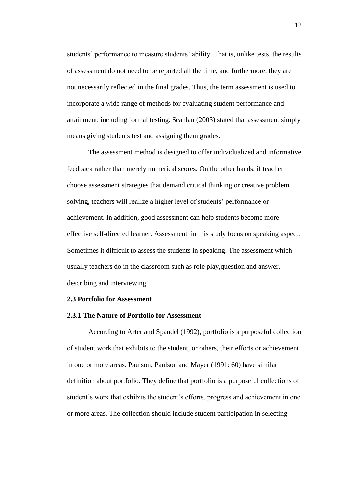students' performance to measure students' ability. That is, unlike tests, the results of assessment do not need to be reported all the time, and furthermore, they are not necessarily reflected in the final grades. Thus, the term assessment is used to incorporate a wide range of methods for evaluating student performance and attainment, including formal testing. Scanlan (2003) stated that assessment simply means giving students test and assigning them grades.

The assessment method is designed to offer individualized and informative feedback rather than merely numerical scores. On the other hands, if teacher choose assessment strategies that demand critical thinking or creative problem solving, teachers will realize a higher level of students' performance or achievement. In addition, good assessment can help students become more effective self-directed learner. Assessment in this study focus on speaking aspect. Sometimes it difficult to assess the students in speaking. The assessment which usually teachers do in the classroom such as role play,question and answer, describing and interviewing.

#### **2.3 Portfolio for Assessment**

#### **2.3.1 The Nature of Portfolio for Assessment**

According to Arter and Spandel (1992), portfolio is a purposeful collection of student work that exhibits to the student, or others, their efforts or achievement in one or more areas. Paulson, Paulson and Mayer (1991: 60) have similar definition about portfolio. They define that portfolio is a purposeful collections of student's work that exhibits the student's efforts, progress and achievement in one or more areas. The collection should include student participation in selecting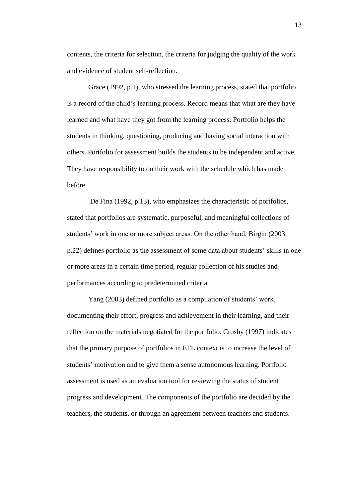contents, the criteria for selection, the criteria for judging the quality of the work and evidence of student self-reflection.

Grace (1992, p.1), who stressed the learning process, stated that portfolio is a record of the child"s learning process. Record means that what are they have learned and what have they got from the learning process. Portfolio helps the students in thinking, questioning, producing and having social interaction with others. Portfolio for assessment builds the students to be independent and active. They have responsibility to do their work with the schedule which has made before.

De Fina (1992, p.13), who emphasizes the characteristic of portfolios, stated that portfolios are systematic, purposeful, and meaningful collections of students' work in one or more subject areas. On the other hand, Birgin (2003, p.22) defines portfolio as the assessment of some data about students' skills in one or more areas in a certain time period, regular collection of his studies and performances according to predetermined criteria.

Yang (2003) defined portfolio as a compilation of students' work, documenting their effort, progress and achievement in their learning, and their reflection on the materials negotiated for the portfolio. Crosby (1997) indicates that the primary purpose of portfolios in EFL context is to increase the level of students' motivation and to give them a sense autonomous learning. Portfolio assessment is used as an evaluation tool for reviewing the status of student progress and development. The components of the portfolio are decided by the teachers, the students, or through an agreement between teachers and students.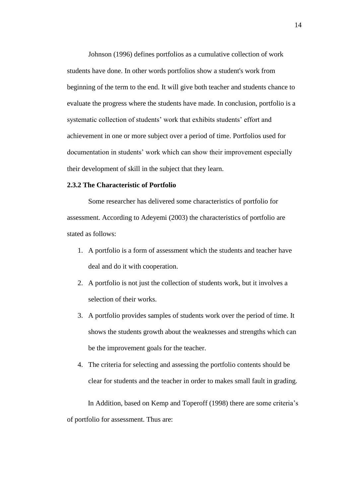Johnson (1996) defines portfolios as a cumulative collection of work students have done. In other words portfolios show a student's work from beginning of the term to the end. It will give both teacher and students chance to evaluate the progress where the students have made. In conclusion, portfolio is a systematic collection of students' work that exhibits students' effort and achievement in one or more subject over a period of time. Portfolios used for documentation in students" work which can show their improvement especially their development of skill in the subject that they learn.

## **2.3.2 The Characteristic of Portfolio**

Some researcher has delivered some characteristics of portfolio for assessment. According to Adeyemi (2003) the characteristics of portfolio are stated as follows:

- 1. A portfolio is a form of assessment which the students and teacher have deal and do it with cooperation.
- 2. A portfolio is not just the collection of students work, but it involves a selection of their works.
- 3. A portfolio provides samples of students work over the period of time. It shows the students growth about the weaknesses and strengths which can be the improvement goals for the teacher.
- 4. The criteria for selecting and assessing the portfolio contents should be clear for students and the teacher in order to makes small fault in grading.

In Addition, based on Kemp and Toperoff (1998) there are some criteria"s of portfolio for assessment. Thus are: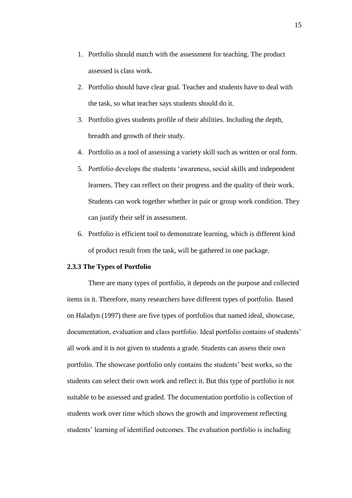- 1. Portfolio should match with the assessment for teaching. The product assessed is class work.
- 2. Portfolio should have clear goal. Teacher and students have to deal with the task, so what teacher says students should do it.
- 3. Portfolio gives students profile of their abilities. Including the depth, breadth and growth of their study.
- 4. Portfolio as a tool of assessing a variety skill such as written or oral form.
- 5. Portfolio develops the students "awareness, social skills and independent learners. They can reflect on their progress and the quality of their work. Students can work together whether in pair or group work condition. They can justify their self in assessment.
- 6. Portfolio is efficient tool to demonstrate learning, which is different kind of product result from the task, will be gathered in one package.

### **2.3.3 The Types of Portfolio**

There are many types of portfolio, it depends on the purpose and collected items in it. Therefore, many researchers have different types of portfolio. Based on Haladyn (1997) there are five types of portfolios that named ideal, showcase, documentation, evaluation and class portfolio. Ideal portfolio contains of students' all work and it is not given to students a grade. Students can assess their own portfolio. The showcase portfolio only contains the students' best works, so the students can select their own work and reflect it. But this type of portfolio is not suitable to be assessed and graded. The documentation portfolio is collection of students work over time which shows the growth and improvement reflecting students' learning of identified outcomes. The evaluation portfolio is including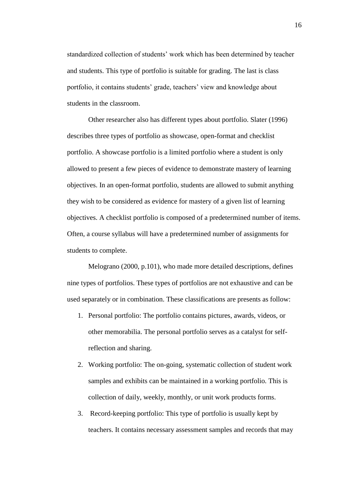standardized collection of students' work which has been determined by teacher and students. This type of portfolio is suitable for grading. The last is class portfolio, it contains students' grade, teachers' view and knowledge about students in the classroom.

Other researcher also has different types about portfolio. Slater (1996) describes three types of portfolio as showcase, open-format and checklist portfolio. A showcase portfolio is a limited portfolio where a student is only allowed to present a few pieces of evidence to demonstrate mastery of learning objectives. In an open-format portfolio, students are allowed to submit anything they wish to be considered as evidence for mastery of a given list of learning objectives. A checklist portfolio is composed of a predetermined number of items. Often, a course syllabus will have a predetermined number of assignments for students to complete.

Melograno (2000, p.101), who made more detailed descriptions, defines nine types of portfolios. These types of portfolios are not exhaustive and can be used separately or in combination. These classifications are presents as follow:

- 1. Personal portfolio: The portfolio contains pictures, awards, videos, or other memorabilia. The personal portfolio serves as a catalyst for selfreflection and sharing.
- 2. Working portfolio: The on-going, systematic collection of student work samples and exhibits can be maintained in a working portfolio. This is collection of daily, weekly, monthly, or unit work products forms.
- 3. Record-keeping portfolio: This type of portfolio is usually kept by teachers. It contains necessary assessment samples and records that may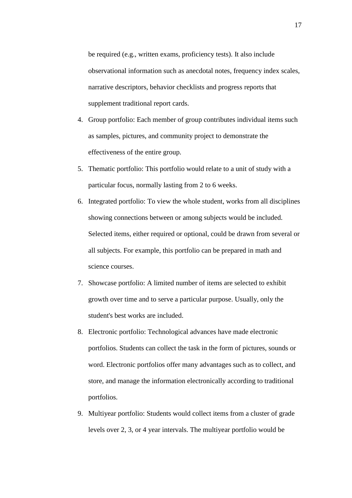be required (e.g., written exams, proficiency tests). It also include observational information such as anecdotal notes, frequency index scales, narrative descriptors, behavior checklists and progress reports that supplement traditional report cards.

- 4. Group portfolio: Each member of group contributes individual items such as samples, pictures, and community project to demonstrate the effectiveness of the entire group.
- 5. Thematic portfolio: This portfolio would relate to a unit of study with a particular focus, normally lasting from 2 to 6 weeks.
- 6. Integrated portfolio: To view the whole student, works from all disciplines showing connections between or among subjects would be included. Selected items, either required or optional, could be drawn from several or all subjects. For example, this portfolio can be prepared in math and science courses.
- 7. Showcase portfolio: A limited number of items are selected to exhibit growth over time and to serve a particular purpose. Usually, only the student's best works are included.
- 8. Electronic portfolio: Technological advances have made electronic portfolios. Students can collect the task in the form of pictures, sounds or word. Electronic portfolios offer many advantages such as to collect, and store, and manage the information electronically according to traditional portfolios.
- 9. Multiyear portfolio: Students would collect items from a cluster of grade levels over 2, 3, or 4 year intervals. The multiyear portfolio would be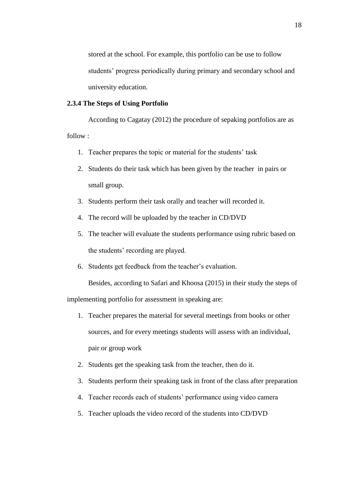stored at the school. For example, this portfolio can be use to follow students" progress periodically during primary and secondary school and university education.

# **2.3.4 The Steps of Using Portfolio**

According to Cagatay (2012) the procedure of sepaking portfolios are as follow :

- 1. Teacher prepares the topic or material for the students' task
- 2. Students do their task which has been given by the teacher in pairs or small group.
- 3. Students perform their task orally and teacher will recorded it.
- 4. The record will be uploaded by the teacher in CD/DVD
- 5. The teacher will evaluate the students performance using rubric based on the students' recording are played.
- 6. Students get feedback from the teacher"s evaluation.

Besides, according to Safari and Khoosa (2015) in their study the steps of

implementing portfolio for assessment in speaking are:

- 1. Teacher prepares the material for several meetings from books or other sources, and for every meetings students will assess with an individual, pair or group work
- 2. Students get the speaking task from the teacher, then do it.
- 3. Students perform their speaking task in front of the class after preparation
- 4. Teacher records each of students' performance using video camera
- 5. Teacher uploads the video record of the students into CD/DVD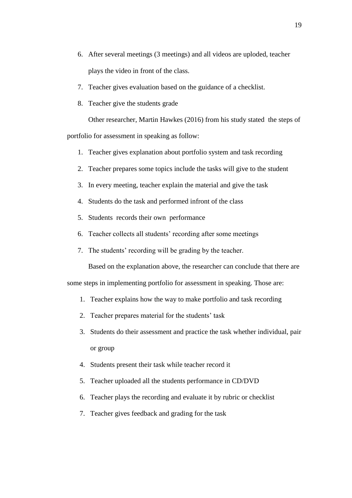- 6. After several meetings (3 meetings) and all videos are uploded, teacher plays the video in front of the class.
- 7. Teacher gives evaluation based on the guidance of a checklist.
- 8. Teacher give the students grade

Other researcher, Martin Hawkes (2016) from his study stated the steps of portfolio for assessment in speaking as follow:

- 1. Teacher gives explanation about portfolio system and task recording
- 2. Teacher prepares some topics include the tasks will give to the student
- 3. In every meeting, teacher explain the material and give the task
- 4. Students do the task and performed infront of the class
- 5. Students records their own performance
- 6. Teacher collects all students' recording after some meetings
- 7. The students' recording will be grading by the teacher.

Based on the explanation above, the researcher can conclude that there are some steps in implementing portfolio for assessment in speaking. Those are:

- 1. Teacher explains how the way to make portfolio and task recording
- 2. Teacher prepares material for the students' task
- 3. Students do their assessment and practice the task whether individual, pair or group
- 4. Students present their task while teacher record it
- 5. Teacher uploaded all the students performance in CD/DVD
- 6. Teacher plays the recording and evaluate it by rubric or checklist
- 7. Teacher gives feedback and grading for the task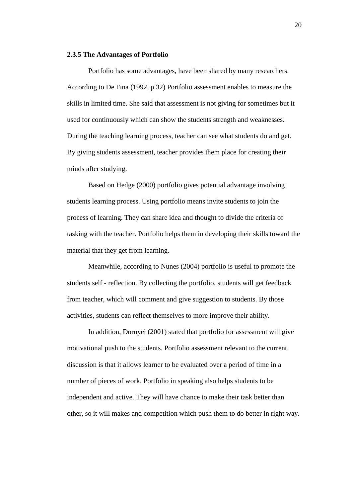## **2.3.5 The Advantages of Portfolio**

Portfolio has some advantages, have been shared by many researchers. According to De Fina (1992, p.32) Portfolio assessment enables to measure the skills in limited time. She said that assessment is not giving for sometimes but it used for continuously which can show the students strength and weaknesses. During the teaching learning process, teacher can see what students do and get. By giving students assessment, teacher provides them place for creating their minds after studying.

Based on Hedge (2000) portfolio gives potential advantage involving students learning process. Using portfolio means invite students to join the process of learning. They can share idea and thought to divide the criteria of tasking with the teacher. Portfolio helps them in developing their skills toward the material that they get from learning.

Meanwhile, according to Nunes (2004) portfolio is useful to promote the students self - reflection. By collecting the portfolio, students will get feedback from teacher, which will comment and give suggestion to students. By those activities, students can reflect themselves to more improve their ability.

In addition, Dornyei (2001) stated that portfolio for assessment will give motivational push to the students. Portfolio assessment relevant to the current discussion is that it allows learner to be evaluated over a period of time in a number of pieces of work. Portfolio in speaking also helps students to be independent and active. They will have chance to make their task better than other, so it will makes and competition which push them to do better in right way.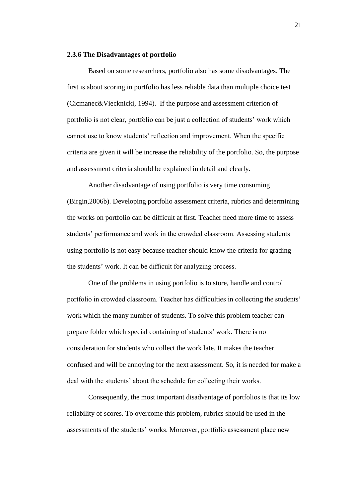### **2.3.6 The Disadvantages of portfolio**

Based on some researchers, portfolio also has some disadvantages. The first is about scoring in portfolio has less reliable data than multiple choice test (Cicmanec&Viecknicki, 1994). If the purpose and assessment criterion of portfolio is not clear, portfolio can be just a collection of students' work which cannot use to know students' reflection and improvement. When the specific criteria are given it will be increase the reliability of the portfolio. So, the purpose and assessment criteria should be explained in detail and clearly.

Another disadvantage of using portfolio is very time consuming (Birgin,2006b). Developing portfolio assessment criteria, rubrics and determining the works on portfolio can be difficult at first. Teacher need more time to assess students" performance and work in the crowded classroom. Assessing students using portfolio is not easy because teacher should know the criteria for grading the students" work. It can be difficult for analyzing process.

One of the problems in using portfolio is to store, handle and control portfolio in crowded classroom. Teacher has difficulties in collecting the students' work which the many number of students. To solve this problem teacher can prepare folder which special containing of students' work. There is no consideration for students who collect the work late. It makes the teacher confused and will be annoying for the next assessment. So, it is needed for make a deal with the students' about the schedule for collecting their works.

Consequently, the most important disadvantage of portfolios is that its low reliability of scores. To overcome this problem, rubrics should be used in the assessments of the students' works. Moreover, portfolio assessment place new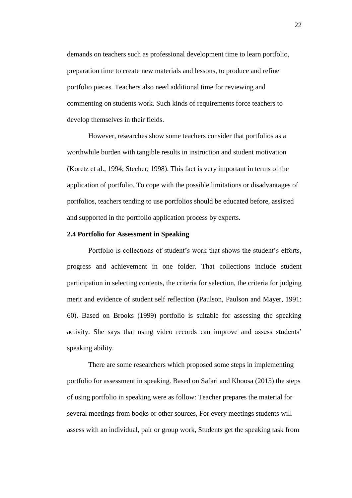demands on teachers such as professional development time to learn portfolio, preparation time to create new materials and lessons, to produce and refine portfolio pieces. Teachers also need additional time for reviewing and commenting on students work. Such kinds of requirements force teachers to develop themselves in their fields.

However, researches show some teachers consider that portfolios as a worthwhile burden with tangible results in instruction and student motivation (Koretz et al., 1994; Stecher, 1998). This fact is very important in terms of the application of portfolio. To cope with the possible limitations or disadvantages of portfolios, teachers tending to use portfolios should be educated before, assisted and supported in the portfolio application process by experts.

## **2.4 Portfolio for Assessment in Speaking**

Portfolio is collections of student"s work that shows the student"s efforts, progress and achievement in one folder. That collections include student participation in selecting contents, the criteria for selection, the criteria for judging merit and evidence of student self reflection (Paulson, Paulson and Mayer, 1991: 60). Based on Brooks (1999) portfolio is suitable for assessing the speaking activity. She says that using video records can improve and assess students" speaking ability.

There are some researchers which proposed some steps in implementing portfolio for assessment in speaking. Based on Safari and Khoosa (2015) the steps of using portfolio in speaking were as follow: Teacher prepares the material for several meetings from books or other sources, For every meetings students will assess with an individual, pair or group work, Students get the speaking task from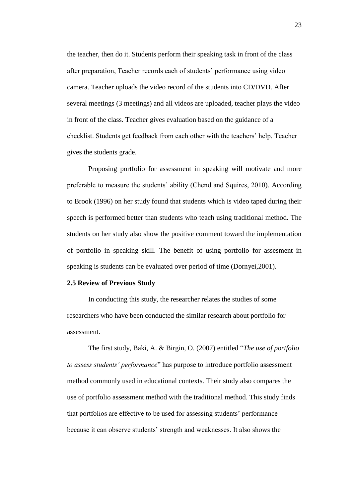the teacher, then do it. Students perform their speaking task in front of the class after preparation, Teacher records each of students' performance using video camera. Teacher uploads the video record of the students into CD/DVD. After several meetings (3 meetings) and all videos are uploaded, teacher plays the video in front of the class. Teacher gives evaluation based on the guidance of a checklist. Students get feedback from each other with the teachers" help. Teacher gives the students grade.

Proposing portfolio for assessment in speaking will motivate and more preferable to measure the students' ability (Chend and Squires, 2010). According to Brook (1996) on her study found that students which is video taped during their speech is performed better than students who teach using traditional method. The students on her study also show the positive comment toward the implementation of portfolio in speaking skill. The benefit of using portfolio for assesment in speaking is students can be evaluated over period of time (Dornyei,2001).

## **2.5 Review of Previous Study**

In conducting this study, the researcher relates the studies of some researchers who have been conducted the similar research about portfolio for assessment.

The first study, Baki, A. & Birgin, O. (2007) entitled "*The use of portfolio to assess students' performance*" has purpose to introduce portfolio assessment method commonly used in educational contexts. Their study also compares the use of portfolio assessment method with the traditional method. This study finds that portfolios are effective to be used for assessing students' performance because it can observe students" strength and weaknesses. It also shows the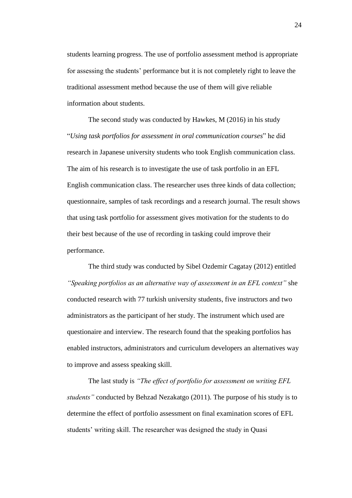students learning progress. The use of portfolio assessment method is appropriate for assessing the students" performance but it is not completely right to leave the traditional assessment method because the use of them will give reliable information about students.

The second study was conducted by Hawkes, M (2016) in his study "*Using task portfolios for assessment in oral communication courses*" he did research in Japanese university students who took English communication class. The aim of his research is to investigate the use of task portfolio in an EFL English communication class. The researcher uses three kinds of data collection; questionnaire, samples of task recordings and a research journal. The result shows that using task portfolio for assessment gives motivation for the students to do their best because of the use of recording in tasking could improve their performance.

The third study was conducted by Sibel Ozdemir Cagatay (2012) entitled *"Speaking portfolios as an alternative way of assessment in an EFL context"* she conducted research with 77 turkish university students, five instructors and two administrators as the participant of her study. The instrument which used are questionaire and interview. The research found that the speaking portfolios has enabled instructors, administrators and curriculum developers an alternatives way to improve and assess speaking skill.

The last study is *"The effect of portfolio for assessment on writing EFL students"* conducted by Behzad Nezakatgo (2011). The purpose of his study is to determine the effect of portfolio assessment on final examination scores of EFL students' writing skill. The researcher was designed the study in Quasi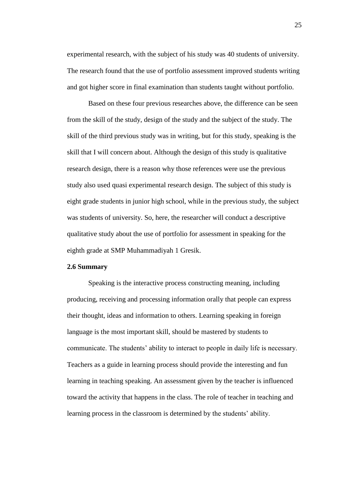experimental research, with the subject of his study was 40 students of university. The research found that the use of portfolio assessment improved students writing and got higher score in final examination than students taught without portfolio.

Based on these four previous researches above, the difference can be seen from the skill of the study, design of the study and the subject of the study. The skill of the third previous study was in writing, but for this study, speaking is the skill that I will concern about. Although the design of this study is qualitative research design, there is a reason why those references were use the previous study also used quasi experimental research design. The subject of this study is eight grade students in junior high school, while in the previous study, the subject was students of university. So, here, the researcher will conduct a descriptive qualitative study about the use of portfolio for assessment in speaking for the eighth grade at SMP Muhammadiyah 1 Gresik.

## **2.6 Summary**

Speaking is the interactive process constructing meaning, including producing, receiving and processing information orally that people can express their thought, ideas and information to others. Learning speaking in foreign language is the most important skill, should be mastered by students to communicate. The students" ability to interact to people in daily life is necessary. Teachers as a guide in learning process should provide the interesting and fun learning in teaching speaking. An assessment given by the teacher is influenced toward the activity that happens in the class. The role of teacher in teaching and learning process in the classroom is determined by the students' ability.